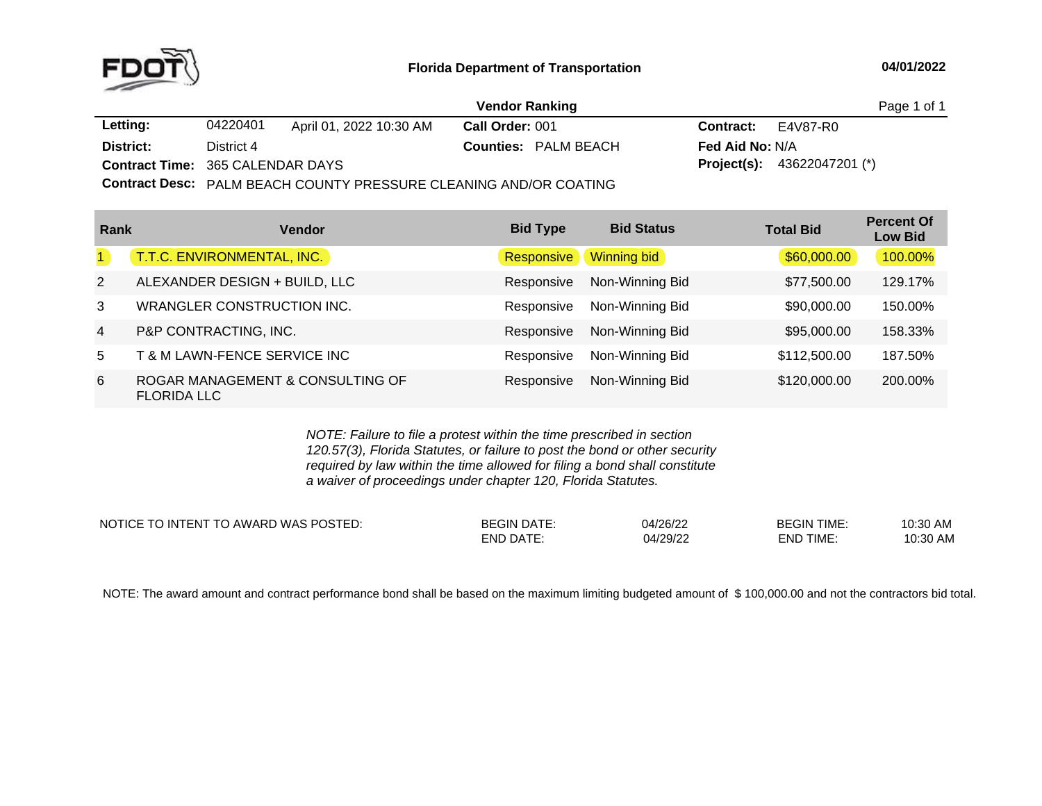

|                                         |                                                                          |                         | <b>Vendor Ranking</b> |                             |                        |                                      | Page 1 of 1 |
|-----------------------------------------|--------------------------------------------------------------------------|-------------------------|-----------------------|-----------------------------|------------------------|--------------------------------------|-------------|
| Letting:                                | 04220401                                                                 | April 01, 2022 10:30 AM | Call Order: 001       |                             | <b>Contract:</b>       | E4V87-R0                             |             |
| District:                               | District 4                                                               |                         |                       | <b>Counties: PALM BEACH</b> | <b>Fed Aid No: N/A</b> |                                      |             |
| <b>Contract Time: 365 CALENDAR DAYS</b> |                                                                          |                         |                       |                             |                        | <b>Project(s):</b> $43622047201$ (*) |             |
|                                         | <b>Contract Desc:</b> PALM BEACH COUNTY PRESSURE CLEANING AND/OR COATING |                         |                       |                             |                        |                                      |             |
|                                         |                                                                          |                         |                       |                             |                        |                                      |             |

| Rank           | <b>Vendor</b>                                          | <b>Bid Type</b> | <b>Bid Status</b> | <b>Total Bid</b> | <b>Percent Of</b><br><b>Low Bid</b> |
|----------------|--------------------------------------------------------|-----------------|-------------------|------------------|-------------------------------------|
| $\blacksquare$ | T.T.C. ENVIRONMENTAL, INC.                             | Responsive      | Winning bid       | \$60,000.00      | 100.00%                             |
| $\overline{2}$ | ALEXANDER DESIGN + BUILD, LLC                          | Responsive      | Non-Winning Bid   | \$77,500.00      | 129.17%                             |
| 3              | WRANGLER CONSTRUCTION INC.                             | Responsive      | Non-Winning Bid   | \$90,000,00      | 150.00%                             |
| $\overline{4}$ | P&P CONTRACTING, INC.                                  | Responsive      | Non-Winning Bid   | \$95,000.00      | 158.33%                             |
| 5              | <b>T &amp; M LAWN-FENCE SERVICE INC</b>                | Responsive      | Non-Winning Bid   | \$112,500.00     | 187.50%                             |
| 6              | ROGAR MANAGEMENT & CONSULTING OF<br><b>FLORIDA LLC</b> | Responsive      | Non-Winning Bid   | \$120,000.00     | 200.00%                             |

*NOTE: Failure to file <sup>a</sup> protest within the time prescribed in section 120.57(3), Florida Statutes, or failure to post the bond or other security required by law within the time allowed for filing <sup>a</sup> bond shall constitute a waiver of proceedings under chapter 120, Florida Statutes.*

| NOTICE TO INTENT TO AWARD WAS POSTED: | <b>BEGIN DATE:</b> | 04/26/22 | <b>BEGIN TIME:</b> | 10:30 AM |
|---------------------------------------|--------------------|----------|--------------------|----------|
|                                       | <b>END DATE:</b>   | 04/29/22 | <b>END TIME</b>    | 10:30 AM |

NOTE: The award amount and contract performance bond shall be based on the maximum limiting budgeted amount of \$100,000.00 and not the contractors bid total.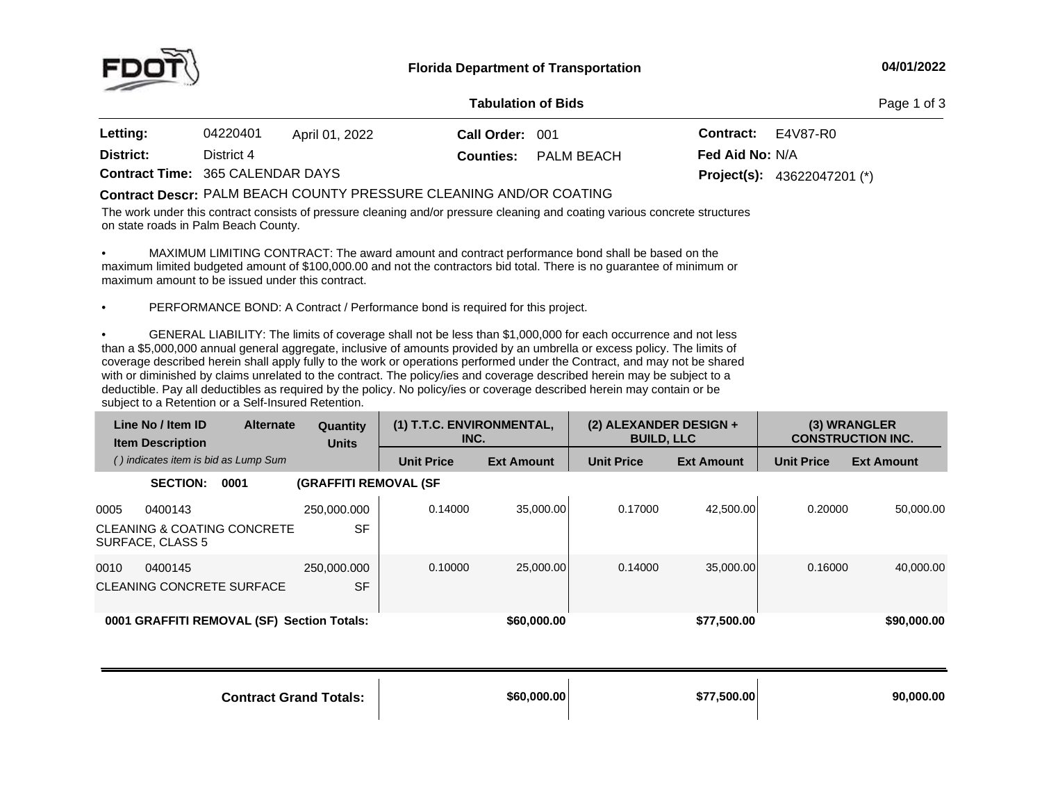

## **04/01/2022**

## **Tabulation**

**of Bids** Page <sup>1</sup> of <sup>3</sup>

| Letting:                                | 04220401   | April 01, 2022 | Call Order: 001  |            | <b>Contract:</b>       | E4V87-R0                             |
|-----------------------------------------|------------|----------------|------------------|------------|------------------------|--------------------------------------|
| District:                               | District 4 |                | <b>Counties:</b> | PALM BEACH | <b>Fed Aid No: N/A</b> |                                      |
| <b>Contract Time: 365 CALENDAR DAYS</b> |            |                |                  |            |                        | <b>Project(s):</b> $43622047201$ (*) |

## **Contract Descr:** PALM BEACH COUNTY PRESSURE CLEANING AND/OR COATING<br>T

The work under this contract consists of pressure cleaning and/or pressure cleaning and coating various concrete structures on state roads in Palm Beach County.

• MAXIMUM LIMITING CONTRACT: The award amount and contract performance bond shall be based on the maximum limited budgeted amount of \$100,000.00 and not the contractors bid total. There is no guarantee of minimum or<br>maximum amount to be issued under this contract maximum amount to be issued under this contract.

•PERFORMANCE BOND: <sup>A</sup> Contract / Performance bond is required for this project.

•GENERAL LIABILITY: The limits of coverage shall not be less than \$1,000,000 for each occurrence and not less than <sup>a</sup> \$5,000,000 annual general aggregate, inclusive of amounts provided by an umbrella or excess policy. The limits of coverage described herein shall apply fully to the work or operations performed under the Contract, and may not be shared with or diminished by claims unrelated to the contract. The policy/ies and coverage described herein may be subject to <sup>a</sup> deductible. Pay all deductibles as required by the policy. No policy/ies or coverage described herein may contain or be subject to <sup>a</sup> Retention or <sup>a</sup> Self-Insured Retention.

|      | Line No / Item ID<br><b>Item Description</b> | <b>Alternate</b>                           | <b>Quantity</b><br><b>Units</b> | (1) T.T.C. ENVIRONMENTAL,<br>INC. |                   | (2) ALEXANDER DESIGN +<br><b>BUILD, LLC</b> |                   |                   | (3) WRANGLER<br><b>CONSTRUCTION INC.</b> |
|------|----------------------------------------------|--------------------------------------------|---------------------------------|-----------------------------------|-------------------|---------------------------------------------|-------------------|-------------------|------------------------------------------|
|      | () indicates item is bid as Lump Sum         |                                            |                                 | <b>Unit Price</b>                 | <b>Ext Amount</b> | <b>Unit Price</b>                           | <b>Ext Amount</b> | <b>Unit Price</b> | <b>Ext Amount</b>                        |
|      | <b>SECTION:</b>                              | 0001                                       | <b>(GRAFFITI REMOVAL (SF</b>    |                                   |                   |                                             |                   |                   |                                          |
| 0005 | 0400143<br>SURFACE, CLASS 5                  | CLEANING & COATING CONCRETE                | 250.000.000<br><b>SF</b>        | 0.14000                           | 35.000.00         | 0.17000                                     | 42.500.00         | 0.20000           | 50.000.00                                |
| 0010 | 0400145<br>CLEANING CONCRETE SURFACE         |                                            | 250,000,000<br><b>SF</b>        | 0.10000                           | 25.000.00         | 0.14000                                     | 35,000,00         | 0.16000           | 40.000.00                                |
|      |                                              | 0001 GRAFFITI REMOVAL (SF) Section Totals: |                                 |                                   | \$60,000,00       |                                             | \$77,500.00       |                   | \$90,000,00                              |

**Contract GrandTotals: \$60,000.00 \$77,500.00 90,000.00**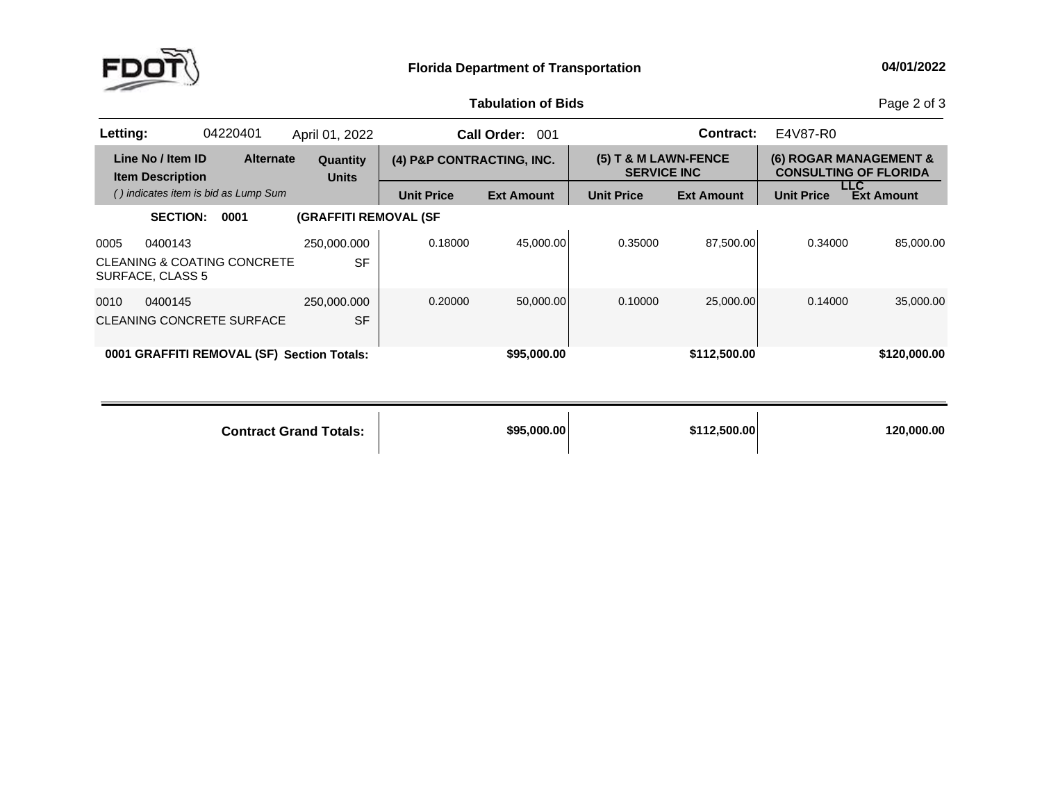

## **Tabulation**

Page 2 of 3

| Letting: |                                              | 04220401                             | April 01, 2022                             |                           | <b>Call Order:</b><br>001 |                                              | <b>Contract:</b>  | E4V87-R0          |                                                        |
|----------|----------------------------------------------|--------------------------------------|--------------------------------------------|---------------------------|---------------------------|----------------------------------------------|-------------------|-------------------|--------------------------------------------------------|
|          | Line No / Item ID<br><b>Item Description</b> | <b>Alternate</b>                     | <b>Quantity</b><br><b>Units</b>            | (4) P&P CONTRACTING, INC. |                           | $(5)$ T & M LAWN-FENCE<br><b>SERVICE INC</b> |                   |                   | (6) ROGAR MANAGEMENT &<br><b>CONSULTING OF FLORIDA</b> |
|          |                                              | () indicates item is bid as Lump Sum |                                            | <b>Unit Price</b>         | <b>Ext Amount</b>         | <b>Unit Price</b>                            | <b>Ext Amount</b> | <b>Unit Price</b> | LLC.<br><b>Ext Amount</b>                              |
|          | <b>SECTION:</b>                              | 0001                                 | <b>(GRAFFITI REMOVAL (SF</b>               |                           |                           |                                              |                   |                   |                                                        |
| 0005     | 0400143                                      |                                      | 250,000.000                                | 0.18000                   | 45.000.00                 | 0.35000                                      | 87,500.00         | 0.34000           | 85,000,00                                              |
|          | SURFACE, CLASS 5                             | CLEANING & COATING CONCRETE          | <b>SF</b>                                  |                           |                           |                                              |                   |                   |                                                        |
| 0010     | 0400145                                      |                                      | 250,000.000                                | 0.20000                   | 50.000.00                 | 0.10000                                      | 25,000.00         | 0.14000           | 35,000,00                                              |
|          |                                              | CLEANING CONCRETE SURFACE            | <b>SF</b>                                  |                           |                           |                                              |                   |                   |                                                        |
|          |                                              |                                      | 0001 GRAFFITI REMOVAL (SF) Section Totals: |                           | \$95,000.00               |                                              | \$112,500.00      |                   | \$120,000.00                                           |

**Contract Grand**

**Totals: \$95,000.00 \$112,500.00 120,000.00**